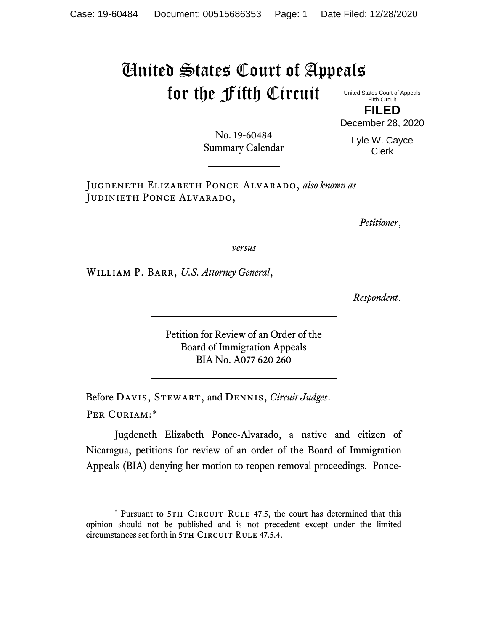## United States Court of Appeals for the Fifth Circuit

United States Court of Appeals Fifth Circuit **FILED**

No. 19-60484 Summary Calendar

Lyle W. Cayce Clerk

December 28, 2020

Jugdeneth Elizabeth Ponce-Alvarado, *also known as* JUDINIETH PONCE ALVARADO,

*Petitioner*,

*versus*

William P. Barr, *U.S. Attorney General*,

*Respondent*.

Petition for Review of an Order of the Board of Immigration Appeals BIA No. A077 620 260

Before Davis, Stewart, and Dennis, *Circuit Judges*. Per Curiam:[\\*](#page-0-0)

Jugdeneth Elizabeth Ponce-Alvarado, a native and citizen of Nicaragua, petitions for review of an order of the Board of Immigration Appeals (BIA) denying her motion to reopen removal proceedings. Ponce-

<span id="page-0-0"></span><sup>\*</sup> Pursuant to 5TH CIRCUIT RULE 47.5, the court has determined that this opinion should not be published and is not precedent except under the limited circumstances set forth in 5TH CIRCUIT RULE 47.5.4.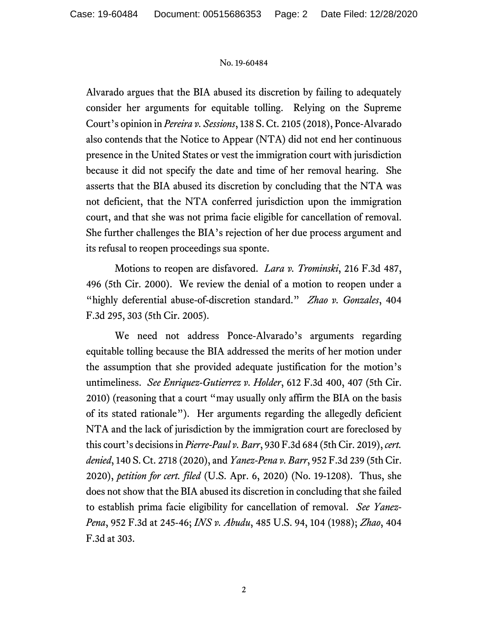## No. 19-60484

Alvarado argues that the BIA abused its discretion by failing to adequately consider her arguments for equitable tolling. Relying on the Supreme Court's opinion in *Pereira v. Sessions*, 138 S. Ct. 2105 (2018), Ponce-Alvarado also contends that the Notice to Appear (NTA) did not end her continuous presence in the United States or vest the immigration court with jurisdiction because it did not specify the date and time of her removal hearing. She asserts that the BIA abused its discretion by concluding that the NTA was not deficient, that the NTA conferred jurisdiction upon the immigration court, and that she was not prima facie eligible for cancellation of removal. She further challenges the BIA's rejection of her due process argument and its refusal to reopen proceedings sua sponte.

Motions to reopen are disfavored. *Lara v. Trominski*, 216 F.3d 487, 496 (5th Cir. 2000). We review the denial of a motion to reopen under a "highly deferential abuse-of-discretion standard." *Zhao v. Gonzales*, 404 F.3d 295, 303 (5th Cir. 2005).

We need not address Ponce-Alvarado's arguments regarding equitable tolling because the BIA addressed the merits of her motion under the assumption that she provided adequate justification for the motion's untimeliness. *See Enriquez-Gutierrez v. Holder*, 612 F.3d 400, 407 (5th Cir. 2010) (reasoning that a court "may usually only affirm the BIA on the basis of its stated rationale"). Her arguments regarding the allegedly deficient NTA and the lack of jurisdiction by the immigration court are foreclosed by this court's decisions in *Pierre-Paul v. Barr*, 930 F.3d 684 (5th Cir. 2019), *cert. denied*, 140 S. Ct. 2718 (2020), and *Yanez-Pena v. Barr*, 952 F.3d 239 (5th Cir. 2020), *petition for cert. filed* (U.S. Apr. 6, 2020) (No. 19-1208). Thus, she does not show that the BIA abused its discretion in concluding that she failed to establish prima facie eligibility for cancellation of removal. *See Yanez-Pena*, 952 F.3d at 245-46; *INS v. Abudu*, 485 U.S. 94, 104 (1988); *Zhao*, 404 F.3d at 303.